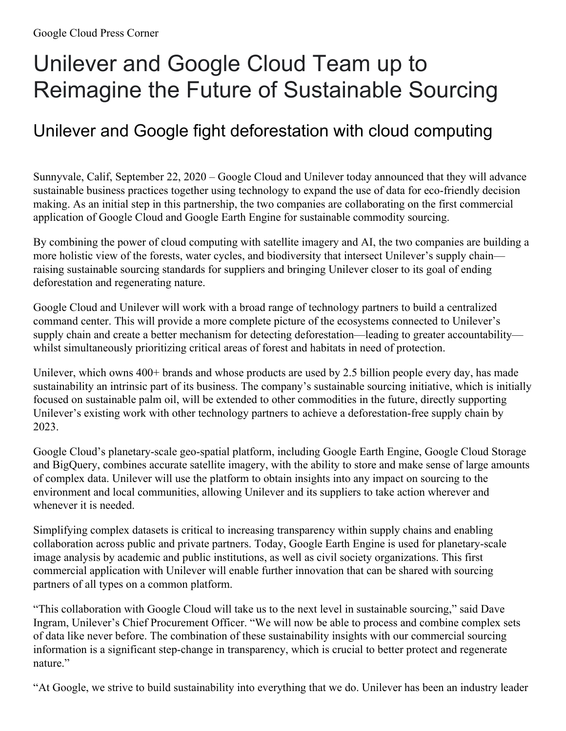## Unilever and Google Cloud Team up to Reimagine the Future of Sustainable Sourcing

## Unilever and Google fight deforestation with cloud computing

Sunnyvale, Calif, September 22, 2020 – Google Cloud and Unilever today announced that they will advance sustainable business practices together using technology to expand the use of data for eco-friendly decision making. As an initial step in this partnership, the two companies are collaborating on the first commercial application of Google Cloud and Google Earth Engine for sustainable commodity sourcing.

By combining the power of cloud computing with satellite imagery and AI, the two companies are building a more holistic view of the forests, water cycles, and biodiversity that intersect Unilever's supply chain raising sustainable sourcing standards for suppliers and bringing Unilever closer to its goal of ending deforestation and regenerating nature.

Google Cloud and Unilever will work with a broad range of technology partners to build a centralized command center. This will provide a more complete picture of the ecosystems connected to Unilever's supply chain and create a better mechanism for detecting deforestation—leading to greater accountability whilst simultaneously prioritizing critical areas of forest and habitats in need of protection.

Unilever, which owns 400+ brands and whose products are used by 2.5 billion people every day, has made sustainability an intrinsic part of its business. The company's sustainable sourcing initiative, which is initially focused on sustainable palm oil, will be extended to other commodities in the future, directly supporting Unilever's existing work with other technology partners to achieve a deforestation-free supply chain by 2023.

Google Cloud's planetary-scale geo-spatial platform, including Google Earth Engine, Google Cloud Storage and BigQuery, combines accurate satellite imagery, with the ability to store and make sense of large amounts of complex data. Unilever will use the platform to obtain insights into any impact on sourcing to the environment and local communities, allowing Unilever and its suppliers to take action wherever and whenever it is needed.

Simplifying complex datasets is critical to increasing transparency within supply chains and enabling collaboration across public and private partners. Today, Google Earth Engine is used for planetary-scale image analysis by academic and public institutions, as well as civil society organizations. This first commercial application with Unilever will enable further innovation that can be shared with sourcing partners of all types on a common platform.

"This collaboration with Google Cloud will take us to the next level in sustainable sourcing," said Dave Ingram, Unilever's Chief Procurement Officer. "We will now be able to process and combine complex sets of data like never before. The combination of these sustainability insights with our commercial sourcing information is a significant step-change in transparency, which is crucial to better protect and regenerate nature."

"At Google, we strive to build sustainability into everything that we do. Unilever has been an industry leader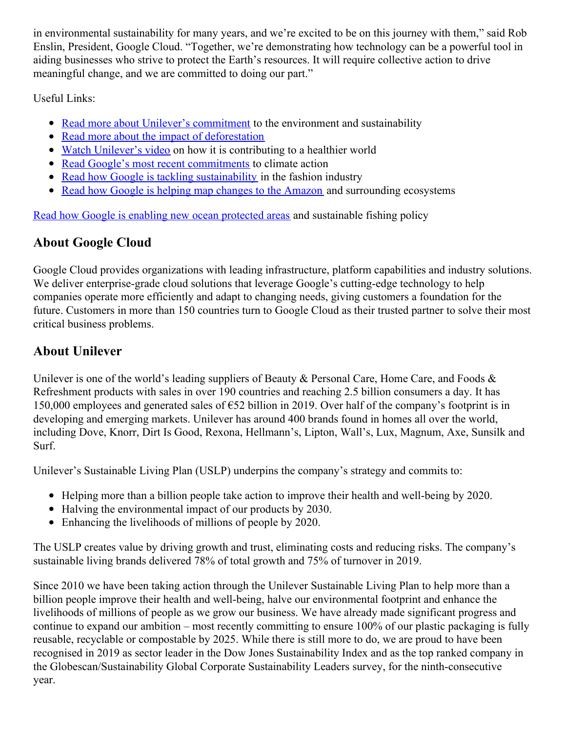in environmental sustainability for many years, and we're excited to be on this journey with them," said Rob Enslin, President, Google Cloud. "Together, we're demonstrating how technology can be a powerful tool in aiding businesses who strive to protect the Earth's resources. It will require collective action to drive meaningful change, and we are committed to doing our part."

Useful Links:

- Read more about Unilever's [commitment](https://www.unilever.com/climate-and-nature.html) to the environment and sustainability
- Read more about the impact of [deforestation](https://www.unilever.com/sustainable-living/reducing-environmental-impact/greenhouse-gases/protecting-our-forests/)
- Watch [Unilever's](https://youtu.be/IdH9vZEDmuY) video on how it is contributing to a healthier world
- Read Google's most recent [commitments](https://blog.google/outreach-initiatives/sustainability/our-third-decade-climate-action-realizing-carbon-free-future) to climate action
- Read how Google is tackling [sustainability](https://cloud.google.com/blog/topics/inside-google-cloud/googles-new-pilot-aiming-to-measure-the-environmental-impact-of-the-fashion-industry) in the fashion industry
- Read how Google is helping map changes to the [Amazon](https://cloud.google.com/customers/mapbiomas) and surrounding ecosystems

Read how Google is enabling new ocean [protected](https://sustainability.google/projects/fishing-watch-impact) areas and sustainable fishing policy

## **About Google Cloud**

Google Cloud provides organizations with leading infrastructure, platform capabilities and industry solutions. We deliver enterprise-grade cloud solutions that leverage Google's cutting-edge technology to help companies operate more efficiently and adapt to changing needs, giving customers a foundation for the future. Customers in more than 150 countries turn to Google Cloud as their trusted partner to solve their most critical business problems.

## **About Unilever**

Unilever is one of the world's leading suppliers of Beauty & Personal Care, Home Care, and Foods & Refreshment products with sales in over 190 countries and reaching 2.5 billion consumers a day. It has 150,000 employees and generated sales of €52 billion in 2019. Over half of the company's footprint is in developing and emerging markets. Unilever has around 400 brands found in homes all over the world, including Dove, Knorr, Dirt Is Good, Rexona, Hellmann's, Lipton, Wall's, Lux, Magnum, Axe, Sunsilk and Surf.

Unilever's Sustainable Living Plan (USLP) underpins the company's strategy and commits to:

- Helping more than a billion people take action to improve their health and well-being by 2020.
- Halving the environmental impact of our products by 2030.
- Enhancing the livelihoods of millions of people by 2020.

The USLP creates value by driving growth and trust, eliminating costs and reducing risks. The company's sustainable living brands delivered 78% of total growth and 75% of turnover in 2019.

Since 2010 we have been taking action through the Unilever Sustainable Living Plan to help more than a billion people improve their health and well-being, halve our environmental footprint and enhance the livelihoods of millions of people as we grow our business. We have already made significant progress and continue to expand our ambition – most recently committing to ensure 100% of our plastic packaging is fully reusable, recyclable or compostable by 2025. While there is still more to do, we are proud to have been recognised in 2019 as sector leader in the Dow Jones Sustainability Index and as the top ranked company in the Globescan/Sustainability Global Corporate Sustainability Leaders survey, for the ninth-consecutive year.